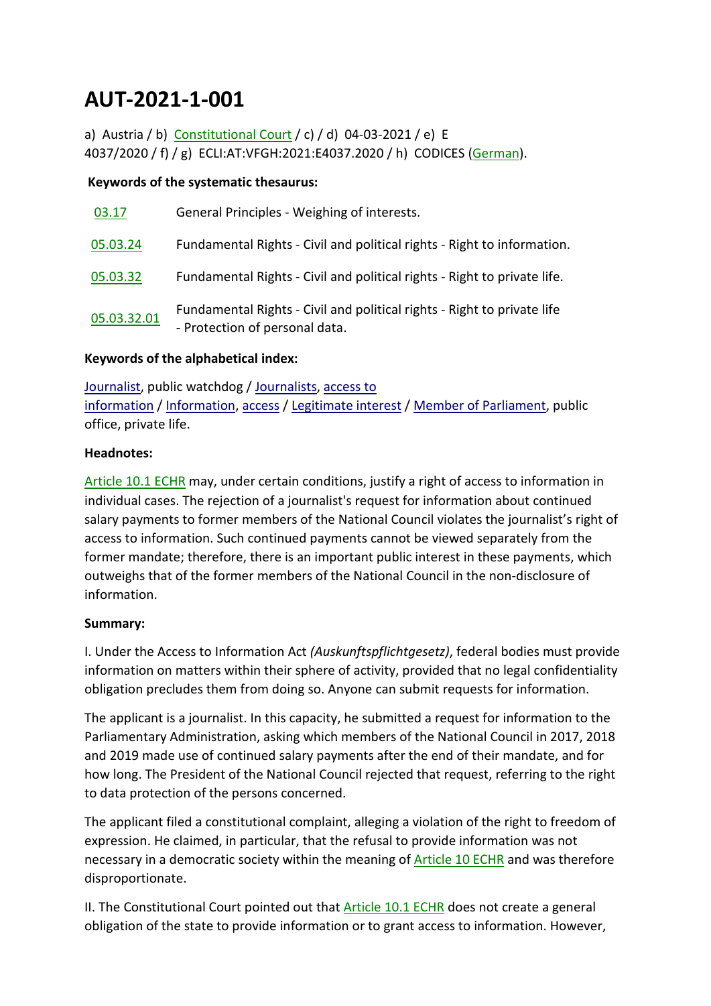# **AUT-2021-1-001**

a) Austria  $\binom{b}{b}$  [Constitutional Court](http://www.codices.coe.int/NXT/gateway.dll/CODICES/Descriptions/ENG/EUR/AUT?f=templates$fn=document-frameset.htm$q=$uq=$x=$up=1#0-0-0-3239)  $\binom{c}{c}$  d) 04-03-2021 / e) E 4037/2020 / f) / g) ECLI:AT:VFGH:2021:E4037.2020 / h) CODICES [\(German\)](http://www.codices.coe.int/NXT/gateway.dll/CODICES/Full/EUR/AUT/GER/AUT-2021-1-001?f=templates$fn=document-frameset.htm$q=$uq=$x=$up=1#0-0-0-3241).

#### **Keywords of the systematic thesaurus:**

| 03.17       | General Principles - Weighing of interests.                                                               |
|-------------|-----------------------------------------------------------------------------------------------------------|
| 05.03.24    | Fundamental Rights - Civil and political rights - Right to information.                                   |
| 05.03.32    | Fundamental Rights - Civil and political rights - Right to private life.                                  |
| 05.03.32.01 | Fundamental Rights - Civil and political rights - Right to private life<br>- Protection of personal data. |

### **Keywords of the alphabetical index:**

[Journalist,](http://www.codices.coe.int/NXT/gateway.dll?f=jumplink$jumplink_x=Advanced$jumplink_vpc=first$jumplink_xsl=querylink.xsl$jumplink_sel=title;path;content-type;home-title;item-bookmark$jumplink_d=%7bCodices%7d$jumplink_q=%5bfield%20E_Alphabetical%20Index:%22Journalist%22%5d) public watchdog / [Journalists,](http://www.codices.coe.int/NXT/gateway.dll?f=jumplink$jumplink_x=Advanced$jumplink_vpc=first$jumplink_xsl=querylink.xsl$jumplink_sel=title;path;content-type;home-title;item-bookmark$jumplink_d=%7bCodices%7d$jumplink_q=%5bfield%20E_Alphabetical%20Index:%22Journalists%22%5d) [access to](http://www.codices.coe.int/NXT/gateway.dll?f=jumplink$jumplink_x=Advanced$jumplink_vpc=first$jumplink_xsl=querylink.xsl$jumplink_sel=title;path;content-type;home-title;item-bookmark$jumplink_d=%7bCodices%7d$jumplink_q=%5bfield%20E_Alphabetical%20Index:%22Journalists,%20access%20to%20information%22%5d)  [information](http://www.codices.coe.int/NXT/gateway.dll?f=jumplink$jumplink_x=Advanced$jumplink_vpc=first$jumplink_xsl=querylink.xsl$jumplink_sel=title;path;content-type;home-title;item-bookmark$jumplink_d=%7bCodices%7d$jumplink_q=%5bfield%20E_Alphabetical%20Index:%22Journalists,%20access%20to%20information%22%5d) / [Information,](http://www.codices.coe.int/NXT/gateway.dll?f=jumplink$jumplink_x=Advanced$jumplink_vpc=first$jumplink_xsl=querylink.xsl$jumplink_sel=title;path;content-type;home-title;item-bookmark$jumplink_d=%7bCodices%7d$jumplink_q=%5bfield%20E_Alphabetical%20Index:%22Information%22%5d) [access](http://www.codices.coe.int/NXT/gateway.dll?f=jumplink$jumplink_x=Advanced$jumplink_vpc=first$jumplink_xsl=querylink.xsl$jumplink_sel=title;path;content-type;home-title;item-bookmark$jumplink_d=%7bCodices%7d$jumplink_q=%5bfield%20E_Alphabetical%20Index:%22Information,%20access%22%5d) / [Legitimate interest](http://www.codices.coe.int/NXT/gateway.dll?f=jumplink$jumplink_x=Advanced$jumplink_vpc=first$jumplink_xsl=querylink.xsl$jumplink_sel=title;path;content-type;home-title;item-bookmark$jumplink_d=%7bCodices%7d$jumplink_q=%5bfield%20E_Alphabetical%20Index:%22Legitimate%20interest%22%5d) / [Member of Parliament,](http://www.codices.coe.int/NXT/gateway.dll?f=jumplink$jumplink_x=Advanced$jumplink_vpc=first$jumplink_xsl=querylink.xsl$jumplink_sel=title;path;content-type;home-title;item-bookmark$jumplink_d=%7bCodices%7d$jumplink_q=%5bfield%20E_Alphabetical%20Index:%22Member%20of%20Parliament%22%5d) public office, private life.

### **Headnotes:**

[Article 10.1 ECHR](http://www.codices.coe.int/NXT/gateway.dll/CODICES/Constitutions/ENG/EUR/ECH?f=templates$fn=document-frameset.htm$q=$uq=$x=$up=1#0-0-0-757) may, under certain conditions, justify a right of access to information in individual cases. The rejection of a journalist's request for information about continued salary payments to former members of the National Council violates the journalist's right of access to information. Such continued payments cannot be viewed separately from the former mandate; therefore, there is an important public interest in these payments, which outweighs that of the former members of the National Council in the non-disclosure of information.

## **Summary:**

I. Under the Access to Information Act *(Auskunftspflichtgesetz)*, federal bodies must provide information on matters within their sphere of activity, provided that no legal confidentiality obligation precludes them from doing so. Anyone can submit requests for information.

The applicant is a journalist. In this capacity, he submitted a request for information to the Parliamentary Administration, asking which members of the National Council in 2017, 2018 and 2019 made use of continued salary payments after the end of their mandate, and for how long. The President of the National Council rejected that request, referring to the right to data protection of the persons concerned.

The applicant filed a constitutional complaint, alleging a violation of the right to freedom of expression. He claimed, in particular, that the refusal to provide information was not necessary in a democratic society within the meaning of [Article 10 ECHR](http://www.codices.coe.int/NXT/gateway.dll/CODICES/Constitutions/ENG/EUR/ECH?f=templates$fn=document-frameset.htm$q=$uq=$x=$up=1#0-0-0-757) and was therefore disproportionate.

II. The Constitutional Court pointed out that [Article 10.1 ECHR](http://www.codices.coe.int/NXT/gateway.dll/CODICES/Constitutions/ENG/EUR/ECH?f=templates$fn=document-frameset.htm$q=$uq=$x=$up=1#0-0-0-757) does not create a general obligation of the state to provide information or to grant access to information. However,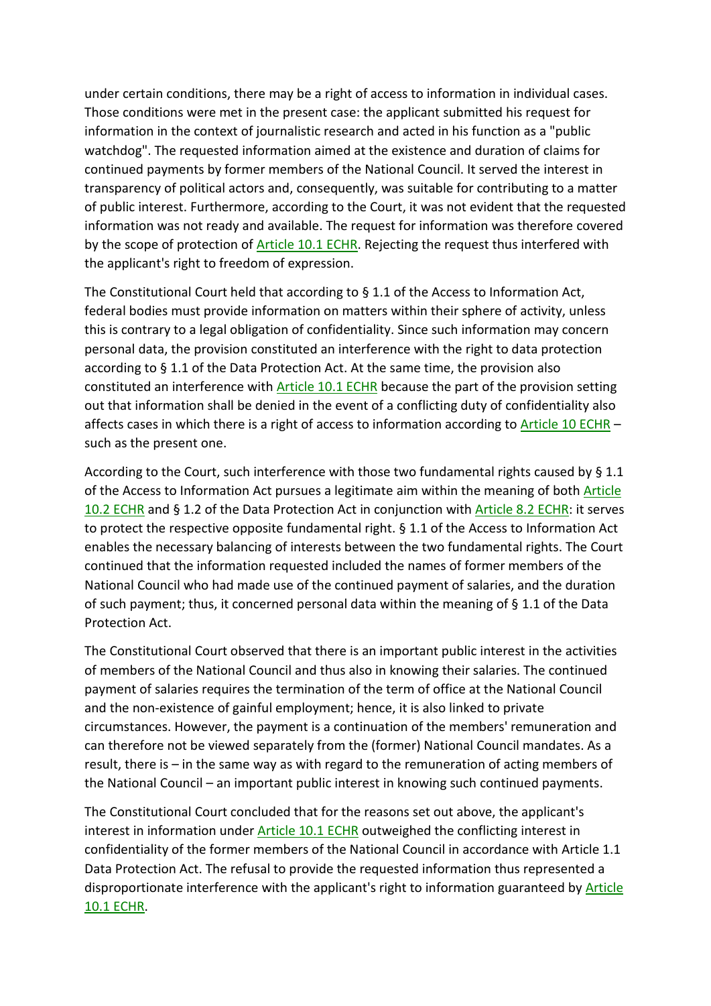under certain conditions, there may be a right of access to information in individual cases. Those conditions were met in the present case: the applicant submitted his request for information in the context of journalistic research and acted in his function as a "public watchdog". The requested information aimed at the existence and duration of claims for continued payments by former members of the National Council. It served the interest in transparency of political actors and, consequently, was suitable for contributing to a matter of public interest. Furthermore, according to the Court, it was not evident that the requested information was not ready and available. The request for information was therefore covered by the scope of protection of [Article 10.1 ECHR.](http://www.codices.coe.int/NXT/gateway.dll/CODICES/Constitutions/ENG/EUR/ECH?f=templates$fn=document-frameset.htm$q=$uq=$x=$up=1#0-0-0-757) Rejecting the request thus interfered with the applicant's right to freedom of expression.

The Constitutional Court held that according to § 1.1 of the Access to Information Act, federal bodies must provide information on matters within their sphere of activity, unless this is contrary to a legal obligation of confidentiality. Since such information may concern personal data, the provision constituted an interference with the right to data protection according to § 1.1 of the Data Protection Act. At the same time, the provision also constituted an interference with [Article 10.1 ECHR](http://www.codices.coe.int/NXT/gateway.dll/CODICES/Constitutions/ENG/EUR/ECH?f=templates$fn=document-frameset.htm$q=$uq=$x=$up=1#0-0-0-757) because the part of the provision setting out that information shall be denied in the event of a conflicting duty of confidentiality also affects cases in which there is a right of access to information according to [Article 10 ECHR](http://www.codices.coe.int/NXT/gateway.dll/CODICES/Constitutions/ENG/EUR/ECH?f=templates$fn=document-frameset.htm$q=$uq=$x=$up=1#0-0-0-757) – such as the present one.

According to the Court, such interference with those two fundamental rights caused by  $\S 1.1$ of the Access to Information Act pursues a legitimate aim within the meaning of both [Article](http://www.codices.coe.int/NXT/gateway.dll/CODICES/Constitutions/ENG/EUR/ECH?f=templates$fn=document-frameset.htm$q=$uq=$x=$up=1#0-0-0-757)  [10.2 ECHR](http://www.codices.coe.int/NXT/gateway.dll/CODICES/Constitutions/ENG/EUR/ECH?f=templates$fn=document-frameset.htm$q=$uq=$x=$up=1#0-0-0-757) and § 1.2 of the Data Protection Act in conjunction with [Article 8.2 ECHR:](http://www.codices.coe.int/NXT/gateway.dll/CODICES/Constitutions/ENG/EUR/ECH?f=templates$fn=document-frameset.htm$q=$uq=$x=$up=1#0-0-0-671) it serves to protect the respective opposite fundamental right. § 1.1 of the Access to Information Act enables the necessary balancing of interests between the two fundamental rights. The Court continued that the information requested included the names of former members of the National Council who had made use of the continued payment of salaries, and the duration of such payment; thus, it concerned personal data within the meaning of § 1.1 of the Data Protection Act.

The Constitutional Court observed that there is an important public interest in the activities of members of the National Council and thus also in knowing their salaries. The continued payment of salaries requires the termination of the term of office at the National Council and the non-existence of gainful employment; hence, it is also linked to private circumstances. However, the payment is a continuation of the members' remuneration and can therefore not be viewed separately from the (former) National Council mandates. As a result, there is – in the same way as with regard to the remuneration of acting members of the National Council – an important public interest in knowing such continued payments.

The Constitutional Court concluded that for the reasons set out above, the applicant's interest in information under [Article 10.1 ECHR](http://www.codices.coe.int/NXT/gateway.dll/CODICES/Constitutions/ENG/EUR/ECH?f=templates$fn=document-frameset.htm$q=$uq=$x=$up=1#0-0-0-757) outweighed the conflicting interest in confidentiality of the former members of the National Council in accordance with Article 1.1 Data Protection Act. The refusal to provide the requested information thus represented a disproportionate interference with the applicant's right to information guaranteed by [Article](http://www.codices.coe.int/NXT/gateway.dll/CODICES/Constitutions/ENG/EUR/ECH?f=templates$fn=document-frameset.htm$q=$uq=$x=$up=1#0-0-0-757)  [10.1 ECHR.](http://www.codices.coe.int/NXT/gateway.dll/CODICES/Constitutions/ENG/EUR/ECH?f=templates$fn=document-frameset.htm$q=$uq=$x=$up=1#0-0-0-757)